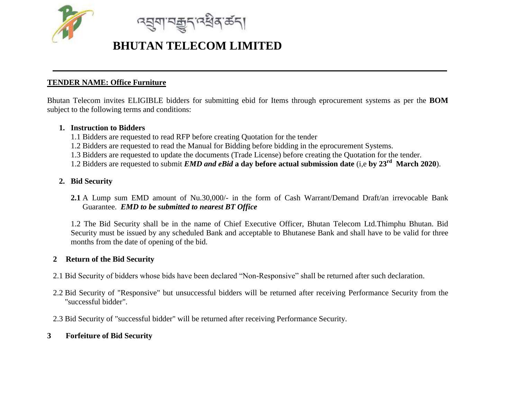

<u>ন্ন্</u>যুশ মক্কুন নেইৰ কৰা

### **TENDER NAME: Office Furniture**

Bhutan Telecom invites ELIGIBLE bidders for submitting ebid for Items through eprocurement systems as per the **BOM** subject to the following terms and conditions:

#### **1. Instruction to Bidders**

- 1.1 Bidders are requested to read RFP before creating Quotation for the tender
- 1.2 Bidders are requested to read the Manual for Bidding before bidding in the eprocurement Systems.
- 1.3 Bidders are requested to update the documents (Trade License) before creating the Quotation for the tender.
- 1.2 Bidders are requested to submit *EMD and eBid* **a day before actual submission date** (i,e **by 23rd March 2020**).

## **2. Bid Security**

**2.1** A Lump sum EMD amount of Nu.30,000/- in the form of Cash Warrant/Demand Draft/an irrevocable Bank Guarantee. *EMD to be submitted to nearest BT Office*

1.2 The Bid Security shall be in the name of Chief Executive Officer, Bhutan Telecom Ltd.Thimphu Bhutan. Bid Security must be issued by any scheduled Bank and acceptable to Bhutanese Bank and shall have to be valid for three months from the date of opening of the bid.

### **2 Return of the Bid Security**

- 2.1 Bid Security of bidders whose bids have been declared "Non-Responsive" shall be returned after such declaration.
- 2.2 Bid Security of "Responsive" but unsuccessful bidders will be returned after receiving Performance Security from the "successful bidder".
- 2.3 Bid Security of "successful bidder" will be returned after receiving Performance Security.

# **3 Forfeiture of Bid Security**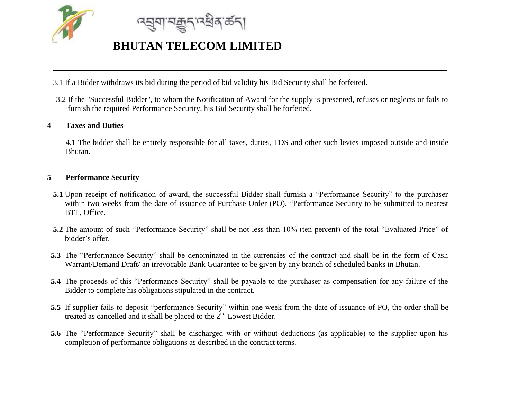

<u>ন্নুনামক্কুন্দ্ৰধ্ৰম্বনা</u>

3.1 If a Bidder withdraws its bid during the period of bid validity his Bid Security shall be forfeited.

3.2 If the "Successful Bidder", to whom the Notification of Award for the supply is presented, refuses or neglects or fails to furnish the required Performance Security, his Bid Security shall be forfeited.

### 4 **Taxes and Duties**

4.1 The bidder shall be entirely responsible for all taxes, duties, TDS and other such levies imposed outside and inside Bhutan.

#### **5 Performance Security**

- **5.1** Upon receipt of notification of award, the successful Bidder shall furnish a "Performance Security" to the purchaser within two weeks from the date of issuance of Purchase Order (PO). "Performance Security to be submitted to nearest BTL, Office.
- **5.2** The amount of such "Performance Security" shall be not less than 10% (ten percent) of the total "Evaluated Price" of bidder's offer.
- **5.3** The "Performance Security" shall be denominated in the currencies of the contract and shall be in the form of Cash Warrant/Demand Draft/ an irrevocable Bank Guarantee to be given by any branch of scheduled banks in Bhutan.
- **5.4** The proceeds of this "Performance Security" shall be payable to the purchaser as compensation for any failure of the Bidder to complete his obligations stipulated in the contract.
- **5.5** If supplier fails to deposit "performance Security" within one week from the date of issuance of PO, the order shall be treated as cancelled and it shall be placed to the  $2<sup>nd</sup>$  Lowest Bidder.
- **5.6** The "Performance Security" shall be discharged with or without deductions (as applicable) to the supplier upon his completion of performance obligations as described in the contract terms.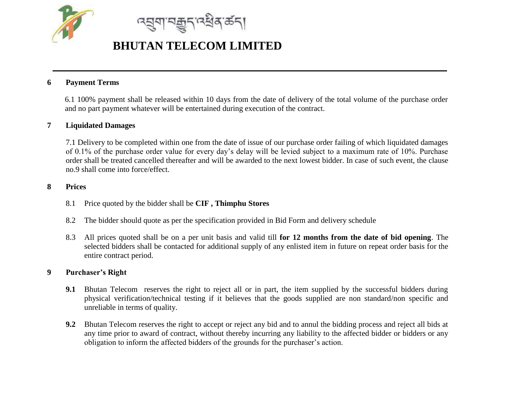

<u> ন্মুনাম্ৰূ</u>ন্দ্ৰষ্থৰ ৰ্ভনা

### **6 Payment Terms**

6.1 100% payment shall be released within 10 days from the date of delivery of the total volume of the purchase order and no part payment whatever will be entertained during execution of the contract.

#### **7 Liquidated Damages**

7.1 Delivery to be completed within one from the date of issue of our purchase order failing of which liquidated damages of 0.1% of the purchase order value for every day's delay will be levied subject to a maximum rate of 10%. Purchase order shall be treated cancelled thereafter and will be awarded to the next lowest bidder. In case of such event, the clause no.9 shall come into force/effect.

#### **8 Prices**

- 8.1 Price quoted by the bidder shall be **CIF , Thimphu Stores**
- 8.2 The bidder should quote as per the specification provided in Bid Form and delivery schedule
- 8.3 All prices quoted shall be on a per unit basis and valid till **for 12 months from the date of bid opening**. The selected bidders shall be contacted for additional supply of any enlisted item in future on repeat order basis for the entire contract period.

#### **9 Purchaser's Right**

- **9.1** Bhutan Telecom reserves the right to reject all or in part, the item supplied by the successful bidders during physical verification/technical testing if it believes that the goods supplied are non standard/non specific and unreliable in terms of quality.
- **9.2** Bhutan Telecom reserves the right to accept or reject any bid and to annul the bidding process and reject all bids at any time prior to award of contract, without thereby incurring any liability to the affected bidder or bidders or any obligation to inform the affected bidders of the grounds for the purchaser's action.